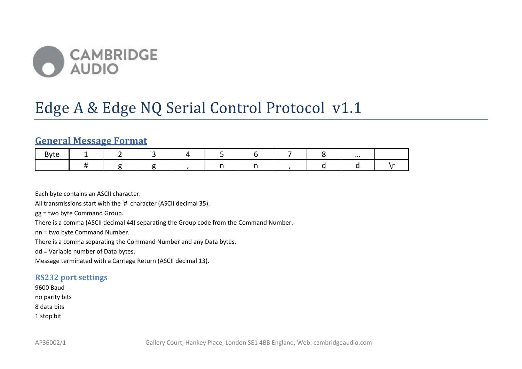

# Edge A & Edge NQ Serial Control Protocol v1.1

## **General Message Format**

|  |  |  |  | $\cdots$ |  |
|--|--|--|--|----------|--|
|  |  |  |  |          |  |

Each byte contains an ASCII character.

All transmissions start with the '#' character (ASCII decimal 35).

gg = two byte Command Group.

There is a comma (ASCII decimal 44) separating the Group code from the Command Number.

nn = two byte Command Number.

There is a comma separating the Command Number and any Data bytes.

dd = Variable number of Data bytes.

Message terminated with a Carriage Return (ASCII decimal 13).

#### **RS232 port settings**

9600 Baud no parity bits 8 data bits 1 stop bit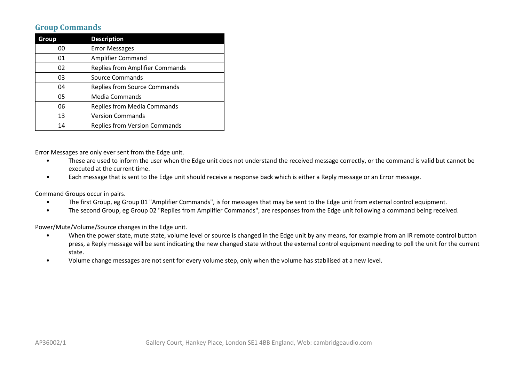## **Group Commands**

| Group                                        | <b>Description</b>                   |  |
|----------------------------------------------|--------------------------------------|--|
| 00                                           | <b>Error Messages</b>                |  |
| 01                                           | Amplifier Command                    |  |
| <b>Replies from Amplifier Commands</b><br>02 |                                      |  |
| 03                                           | Source Commands                      |  |
| 04                                           | <b>Replies from Source Commands</b>  |  |
| 05                                           | Media Commands                       |  |
| 06                                           | <b>Replies from Media Commands</b>   |  |
| 13                                           | <b>Version Commands</b>              |  |
| 14                                           | <b>Replies from Version Commands</b> |  |

Error Messages are only ever sent from the Edge unit.

- These are used to inform the user when the Edge unit does not understand the received message correctly, or the command is valid but cannot be executed at the current time.
- Each message that is sent to the Edge unit should receive a response back which is either a Reply message or an Error message.

Command Groups occur in pairs.

- The first Group, eg Group 01 "Amplifier Commands", is for messages that may be sent to the Edge unit from external control equipment.
- The second Group, eg Group 02 "Replies from Amplifier Commands", are responses from the Edge unit following a command being received.

Power/Mute/Volume/Source changes in the Edge unit.

- When the power state, mute state, volume level or source is changed in the Edge unit by any means, for example from an IR remote control button press, a Reply message will be sent indicating the new changed state without the external control equipment needing to poll the unit for the current state.
- Volume change messages are not sent for every volume step, only when the volume has stabilised at a new level.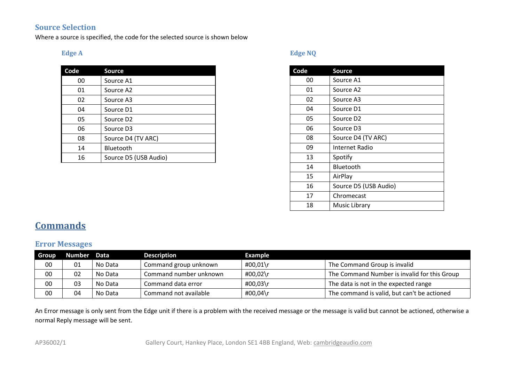## **Source Selection**

Where a source is specified, the code for the selected source is shown below

#### **Edge A**

| Code | <b>Source</b>         |
|------|-----------------------|
| 00   | Source A1             |
| 01   | Source A2             |
| 02   | Source A3             |
| 04   | Source D1             |
| 05   | Source D <sub>2</sub> |
| 06   | Source D3             |
| 08   | Source D4 (TV ARC)    |
| 14   | <b>Bluetooth</b>      |
| 16   | Source D5 (USB Audio) |

## **Edge NQ**

| Code | <b>Source</b>         |
|------|-----------------------|
| 00   | Source A1             |
| 01   | Source A2             |
| 02   | Source A3             |
| 04   | Source D1             |
| 05   | Source D <sub>2</sub> |
| 06   | Source D3             |
| 08   | Source D4 (TV ARC)    |
| 09   | Internet Radio        |
| 13   | Spotify               |
| 14   | Bluetooth             |
| 15   | AirPlay               |
| 16   | Source D5 (USB Audio) |
| 17   | Chromecast            |
| 18   | Music Library         |

# **Commands**

## **Error Messages**

| <b>Group</b> | Number Data |         | <b>Description</b>     | Example  |                                              |
|--------------|-------------|---------|------------------------|----------|----------------------------------------------|
| 00           | 01          | No Data | Command group unknown  | #00,01\r | The Command Group is invalid                 |
| 00           | 02          | No Data | Command number unknown | #00,02\r | The Command Number is invalid for this Group |
| 00           | 03          | No Data | Command data error     | #00,03\r | The data is not in the expected range        |
| 00           | 04          | No Data | Command not available  | #00,04\r | The command is valid, but can't be actioned  |

An Error message is only sent from the Edge unit if there is a problem with the received message or the message is valid but cannot be actioned, otherwise a normal Reply message will be sent.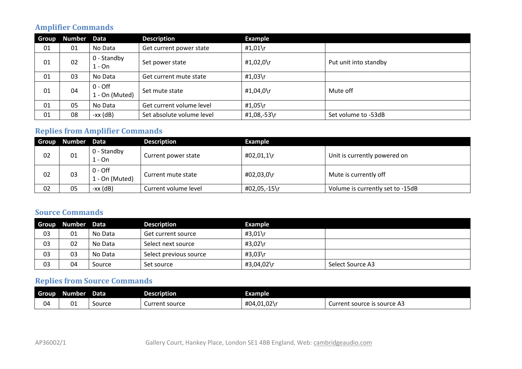## **Amplifier Commands**

| <b>Group</b> | Number Data |                             | <b>Description</b>        | <b>Example</b> |                       |
|--------------|-------------|-----------------------------|---------------------------|----------------|-----------------------|
| 01           | 01          | No Data                     | Get current power state   | #1,01\r        |                       |
| 01           | 02          | 0 - Standby<br>1 - On       | Set power state           | #1,02,0\r      | Put unit into standby |
| 01           | 03          | No Data                     | Get current mute state    | #1,03\r        |                       |
| 01           | 04          | $0 -$ Off<br>1 - On (Muted) | Set mute state            | #1,04,0\r      | Mute off              |
| 01           | 05          | No Data                     | Get current volume level  | #1,05\r        |                       |
| 01           | 08          | $-xx$ (dB)                  | Set absolute volume level | #1,08,-53\r    | Set volume to -53dB   |

## **Replies from Amplifier Commands**

| <b>Group</b> | Number Data |                             | <b>Description</b>   | <b>Example</b> |                                  |
|--------------|-------------|-----------------------------|----------------------|----------------|----------------------------------|
| 02           | 01          | 0 - Standby<br>1 - On       | Current power state  | #02,01,1\r     | Unit is currently powered on     |
| 02           | 03          | $0 -$ Off<br>1 - On (Muted) | Current mute state   | #02,03,0\r     | Mute is currently off            |
| 02           | 05          | -xx (dB)                    | Current volume level | #02,05,-15\r   | Volume is currently set to -15dB |

## **Source Commands**

| <b>Group</b> | Number Data |         | <b>Description</b>     | Example    |                  |
|--------------|-------------|---------|------------------------|------------|------------------|
| 03           | 01          | No Data | Get current source     | #3,01\r    |                  |
| 03           | 02          | No Data | Select next source     | #3,02\r    |                  |
| 03           | 03          | No Data | Select previous source | #3,03\r    |                  |
| 03           | 04          | Source  | Set source             | #3,04,02\r | Select Source A3 |

## **Replies from Source Commands**

| <b>Group</b> | Number | Data   | <b>Description</b> | Example    |                                                |
|--------------|--------|--------|--------------------|------------|------------------------------------------------|
| 04.          | 01     | Source | Current source     | #04,01,02\ | source :<br><b>Current source is</b><br>rce A3 |